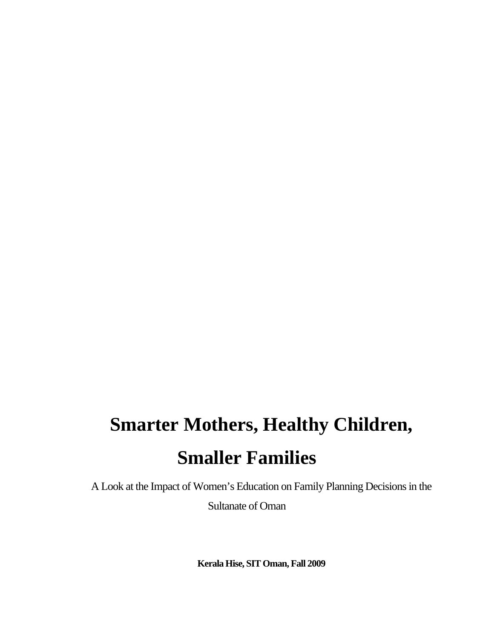# **Smarter Mothers, Healthy Children, Smaller Families**

A Look at the Impact of Women's Education on Family Planning Decisions in the Sultanate of Oman

**Kerala Hise, SIT Oman, Fall 2009**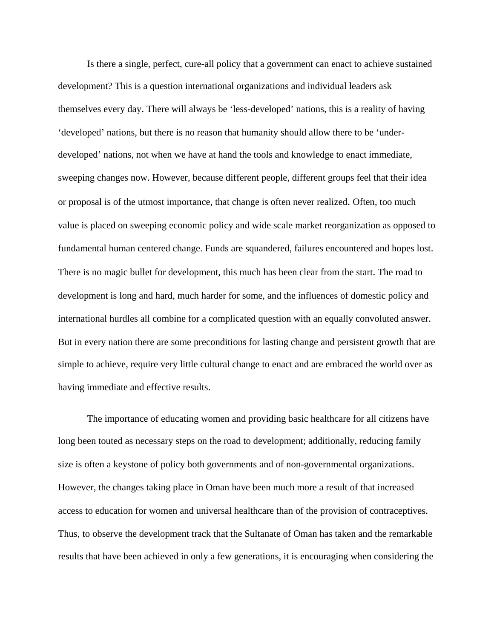Is there a single, perfect, cure-all policy that a government can enact to achieve sustained development? This is a question international organizations and individual leaders ask themselves every day. There will always be 'less-developed' nations, this is a reality of having 'developed' nations, but there is no reason that humanity should allow there to be 'underdeveloped' nations, not when we have at hand the tools and knowledge to enact immediate, sweeping changes now. However, because different people, different groups feel that their idea or proposal is of the utmost importance, that change is often never realized. Often, too much value is placed on sweeping economic policy and wide scale market reorganization as opposed to fundamental human centered change. Funds are squandered, failures encountered and hopes lost. There is no magic bullet for development, this much has been clear from the start. The road to development is long and hard, much harder for some, and the influences of domestic policy and international hurdles all combine for a complicated question with an equally convoluted answer. But in every nation there are some preconditions for lasting change and persistent growth that are simple to achieve, require very little cultural change to enact and are embraced the world over as having immediate and effective results.

The importance of educating women and providing basic healthcare for all citizens have long been touted as necessary steps on the road to development; additionally, reducing family size is often a keystone of policy both governments and of non-governmental organizations. However, the changes taking place in Oman have been much more a result of that increased access to education for women and universal healthcare than of the provision of contraceptives. Thus, to observe the development track that the Sultanate of Oman has taken and the remarkable results that have been achieved in only a few generations, it is encouraging when considering the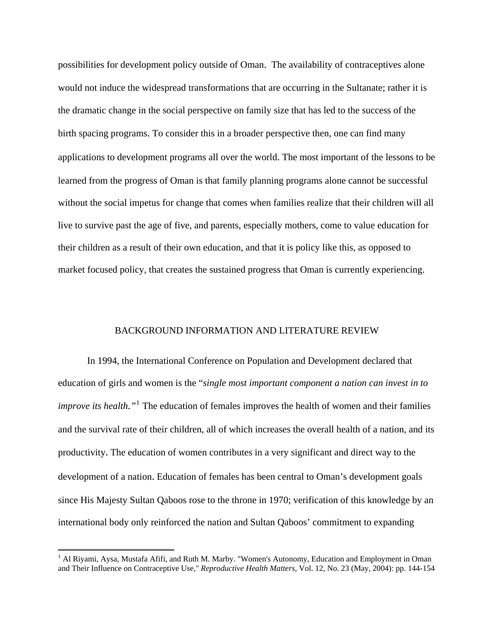possibilities for development policy outside of Oman. The availability of contraceptives alone would not induce the widespread transformations that are occurring in the Sultanate; rather it is the dramatic change in the social perspective on family size that has led to the success of the birth spacing programs. To consider this in a broader perspective then, one can find many applications to development programs all over the world. The most important of the lessons to be learned from the progress of Oman is that family planning programs alone cannot be successful without the social impetus for change that comes when families realize that their children will all live to survive past the age of five, and parents, especially mothers, come to value education for their children as a result of their own education, and that it is policy like this, as opposed to market focused policy, that creates the sustained progress that Oman is currently experiencing.

### BACKGROUND INFORMATION AND LITERATURE REVIEW

In 1994, the International Conference on Population and Development declared that education of girls and women is the "*single most important component a nation can invest in to improve its health.*"<sup>[1](#page-3-0)</sup> The education of females improves the health of women and their families and the survival rate of their children, all of which increases the overall health of a nation, and its productivity. The education of women contributes in a very significant and direct way to the development of a nation. Education of females has been central to Oman's development goals since His Majesty Sultan Qaboos rose to the throne in 1970; verification of this knowledge by an international body only reinforced the nation and Sultan Qaboos' commitment to expanding

<span id="page-3-0"></span><sup>&</sup>lt;sup>1</sup> Al Riyami, Aysa, Mustafa Afifi, and Ruth M. Marby. "Women's Autonomy, Education and Employment in Oman and Their Influence on Contraceptive Use," *Reproductive Health Matters,* Vol. 12, No. 23 (May, 2004): pp. 144-154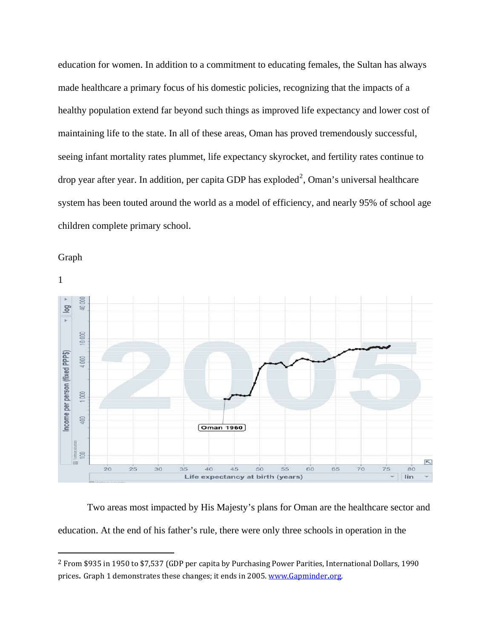education for women. In addition to a commitment to educating females, the Sultan has always made healthcare a primary focus of his domestic policies, recognizing that the impacts of a healthy population extend far beyond such things as improved life expectancy and lower cost of maintaining life to the state. In all of these areas, Oman has proved tremendously successful, seeing infant mortality rates plummet, life expectancy skyrocket, and fertility rates continue to drop year after year. In addition, per capita GDP has exploded<sup>[2](#page-4-0)</sup>, Oman's universal healthcare system has been touted around the world as a model of efficiency, and nearly 95% of school age children complete primary school.

Graph





 Two areas most impacted by His Majesty's plans for Oman are the healthcare sector and education. At the end of his father's rule, there were only three schools in operation in the

<span id="page-4-0"></span><sup>2</sup> From \$935 in 1950 to \$7,537 (GDP per capita by Purchasing Power Parities, International Dollars, 1990 prices. Graph 1 demonstrates these changes; it ends in 2005. [www.Gapminder.org](http://www.gapminder.org/).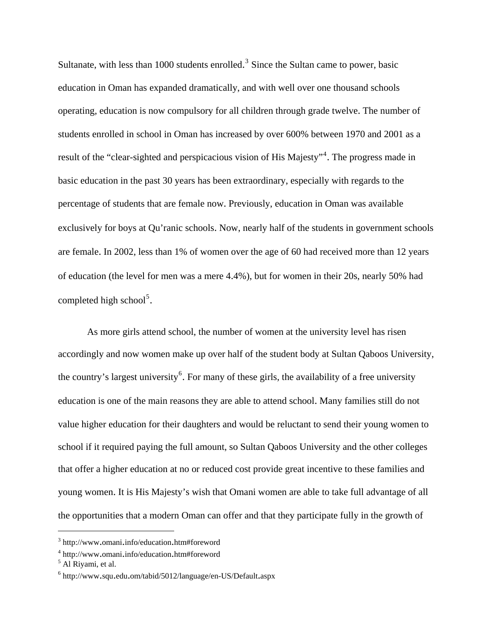Sultanate, with less than 1000 students enrolled.<sup>[3](#page-5-0)</sup> Since the Sultan came to power, basic education in Oman has expanded dramatically, and with well over one thousand schools operating, education is now compulsory for all children through grade twelve. The number of students enrolled in school in Oman has increased by over 600% between 1970 and 2001 as a result of the "clear-sighted and perspicacious vision of His Majesty"<sup>[4](#page-5-1)</sup>. The progress made in basic education in the past 30 years has been extraordinary, especially with regards to the percentage of students that are female now. Previously, education in Oman was available exclusively for boys at Qu'ranic schools. Now, nearly half of the students in government schools are female. In 2002, less than 1% of women over the age of 60 had received more than 12 years of education (the level for men was a mere 4.4%), but for women in their 20s, nearly 50% had completed high school<sup>[5](#page-5-2)</sup>.

As more girls attend school, the number of women at the university level has risen accordingly and now women make up over half of the student body at Sultan Qaboos University, the country's largest university<sup>[6](#page-5-3)</sup>. For many of these girls, the availability of a free university education is one of the main reasons they are able to attend school. Many families still do not value higher education for their daughters and would be reluctant to send their young women to school if it required paying the full amount, so Sultan Qaboos University and the other colleges that offer a higher education at no or reduced cost provide great incentive to these families and young women. It is His Majesty's wish that Omani women are able to take full advantage of all the opportunities that a modern Oman can offer and that they participate fully in the growth of

<span id="page-5-0"></span><sup>&</sup>lt;sup>3</sup> http://www.omani.info/education.htm#foreword

<span id="page-5-1"></span> $\frac{4}{5}$  http://www.omani.info/education.htm#foreword

<span id="page-5-2"></span> $<sup>5</sup>$  Al Riyami, et al.</sup>

<span id="page-5-3"></span><sup>6</sup> http://www.squ.edu.om/tabid/5012/language/en-US/Default.aspx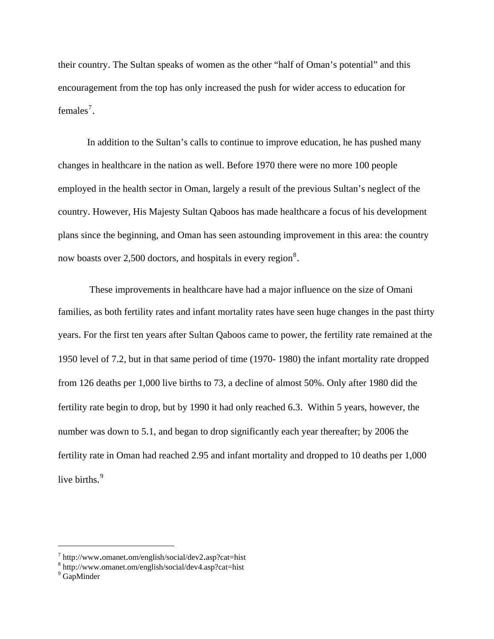their country. The Sultan speaks of women as the other "half of Oman's potential" and this encouragement from the top has only increased the push for wider access to education for females<sup>[7](#page-6-0)</sup>.

 In addition to the Sultan's calls to continue to improve education, he has pushed many changes in healthcare in the nation as well. Before 1970 there were no more 100 people employed in the health sector in Oman, largely a result of the previous Sultan's neglect of the country. However, His Majesty Sultan Qaboos has made healthcare a focus of his development plans since the beginning, and Oman has seen astounding improvement in this area: the country now boasts over 2,500 doctors, and hospitals in every region $^8$  $^8$ .

 These improvements in healthcare have had a major influence on the size of Omani families, as both fertility rates and infant mortality rates have seen huge changes in the past thirty years. For the first ten years after Sultan Qaboos came to power, the fertility rate remained at the 1950 level of 7.2, but in that same period of time (1970- 1980) the infant mortality rate dropped from 126 deaths per 1,000 live births to 73, a decline of almost 50%. Only after 1980 did the fertility rate begin to drop, but by 1990 it had only reached 6.3. Within 5 years, however, the number was down to 5.1, and began to drop significantly each year thereafter; by 2006 the fertility rate in Oman had reached 2.95 and infant mortality and dropped to 10 deaths per 1,000 live births.<sup>[9](#page-6-2)</sup>

<span id="page-6-0"></span> $T$  http://www.omanet.om/english/social/dev2.asp?cat=hist  $8 \text{ km}$  //www.omanet.om/english/social/day4.asp?cat=hist

<span id="page-6-1"></span>http://www.omanet.om/english/social/dev4.asp?cat=hist <sup>9</sup>

<span id="page-6-2"></span><sup>&</sup>lt;sup>9</sup> GapMinder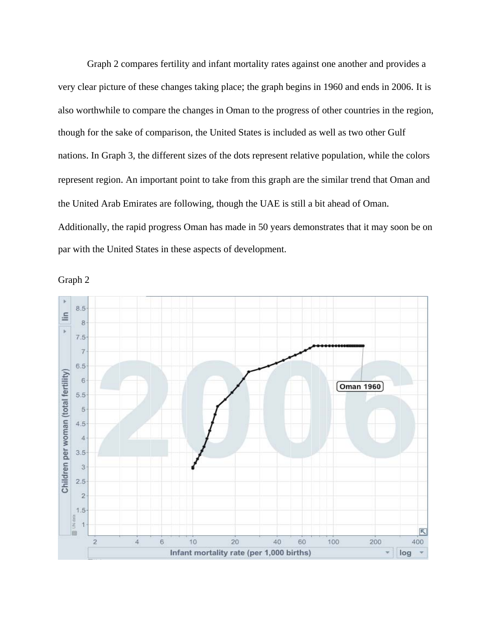Graph 2 compares fertility and infant mortality rates against one another and provides a very clear picture of these changes taking place; the graph begins in 1960 and ends in 2006. It is also worthwhile to compare the changes in Oman to the progress of other countries in the region, though for the sake of comparison, the United States is included as well as two other Gulf nations. In Graph 3, the different sizes of the dots represent relative population, while the colors represent region. An important point to take from this graph are the similar trend that Oman and the United Arab Emirates are following, though the UAE is still a bit ahead of Oman. Additionally, the rapid progress Oman has made in 50 years demonstrates that it may soon be on par with the United States in these aspects of development.

8.5 lin 8 ý.  $7.5$  $\overline{7}$  $6.5$ Children per woman (total fertility) 6 Oman 1960 5.5 5  $4.5$  $\overline{4}$  $3.5$  $\overline{3}$  $2.5$  $\overline{2}$  $1.5$ UN data  $\overline{1}$ R 画  $10$  $\overline{c}$  $\ddot{4}$  $\overline{6}$  $20<sup>°</sup>$  $40$ 60 100 200 400 Infant mortality rate (per 1,000 births) log

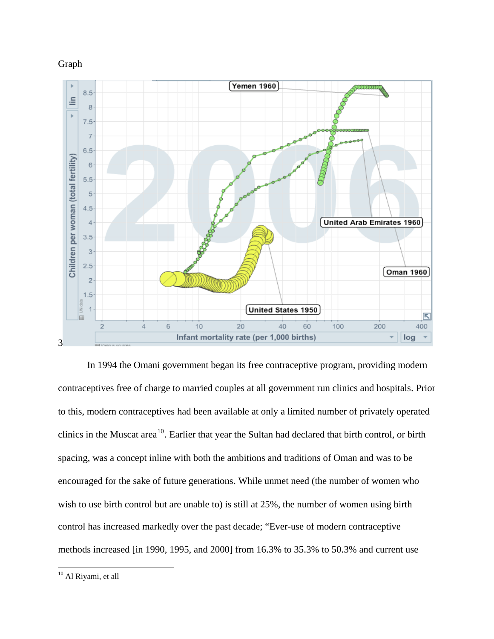



In 1994 the Omani government began its free contraceptive program, providing modern contraceptives free of charge to married couples at all government run clinics and hospitals. Prior to this, modern contraceptives had been available at only a limited number of privately operated clinics in the Muscat area<sup>[10](#page-8-0)</sup>. Earlier that year the Sultan had declared that birth control, or birth spacing, was a concept inline with both the ambitions and traditions of Oman and was to be encouraged for the sake of future generations. While unmet need (the number of women who wish to use birth control but are unable to) is still at 25%, the number of women using birth control has increased markedly over the past decade; "Ever-use of modern contraceptive methods increased [in 1990, 1995, and 2000] from 16.3% to 35.3% to 50.3% and current use

<span id="page-8-0"></span><sup>&</sup>lt;sup>10</sup> Al Riyami, et all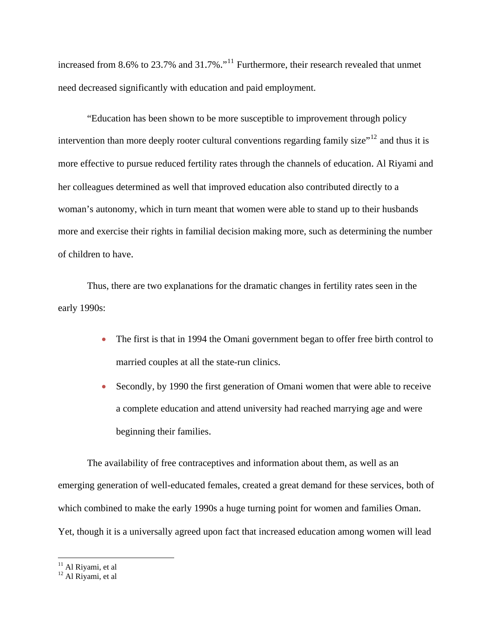increased from 8.6% to 23.7% and 31.7%."<sup>[11](#page-9-0)</sup> Furthermore, their research revealed that unmet need decreased significantly with education and paid employment.

"Education has been shown to be more susceptible to improvement through policy intervention than more deeply rooter cultural conventions regarding family size $12$  and thus it is more effective to pursue reduced fertility rates through the channels of education. Al Riyami and her colleagues determined as well that improved education also contributed directly to a woman's autonomy, which in turn meant that women were able to stand up to their husbands more and exercise their rights in familial decision making more, such as determining the number of children to have.

Thus, there are two explanations for the dramatic changes in fertility rates seen in the early 1990s:

- The first is that in 1994 the Omani government began to offer free birth control to married couples at all the state-run clinics.
- Secondly, by 1990 the first generation of Omani women that were able to receive a complete education and attend university had reached marrying age and were beginning their families.

The availability of free contraceptives and information about them, as well as an emerging generation of well-educated females, created a great demand for these services, both of which combined to make the early 1990s a huge turning point for women and families Oman. Yet, though it is a universally agreed upon fact that increased education among women will lead

<span id="page-9-1"></span><span id="page-9-0"></span><sup>&</sup>lt;sup>11</sup> Al Riyami, et al

 $12$  Al Riyami, et al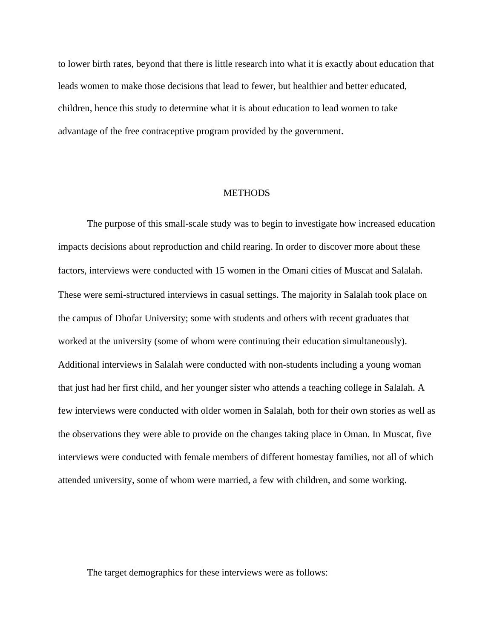to lower birth rates, beyond that there is little research into what it is exactly about education that leads women to make those decisions that lead to fewer, but healthier and better educated, children, hence this study to determine what it is about education to lead women to take advantage of the free contraceptive program provided by the government.

### **METHODS**

The purpose of this small-scale study was to begin to investigate how increased education impacts decisions about reproduction and child rearing. In order to discover more about these factors, interviews were conducted with 15 women in the Omani cities of Muscat and Salalah. These were semi-structured interviews in casual settings. The majority in Salalah took place on the campus of Dhofar University; some with students and others with recent graduates that worked at the university (some of whom were continuing their education simultaneously). Additional interviews in Salalah were conducted with non-students including a young woman that just had her first child, and her younger sister who attends a teaching college in Salalah. A few interviews were conducted with older women in Salalah, both for their own stories as well as the observations they were able to provide on the changes taking place in Oman. In Muscat, five interviews were conducted with female members of different homestay families, not all of which attended university, some of whom were married, a few with children, and some working.

The target demographics for these interviews were as follows: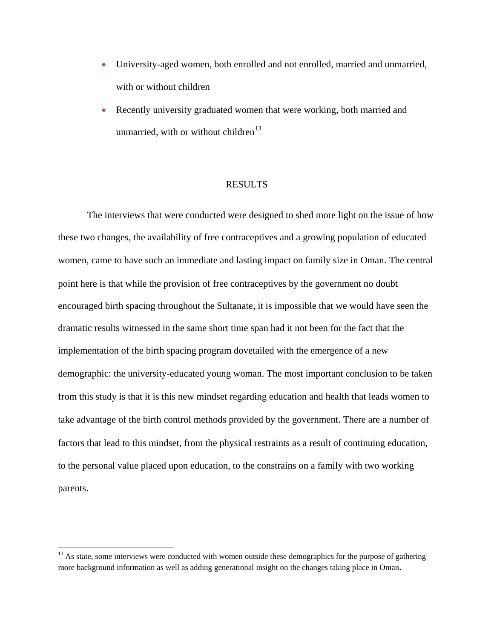- University-aged women, both enrolled and not enrolled, married and unmarried, with or without children
- Recently university graduated women that were working, both married and unmarried, with or without children<sup>[13](#page-11-0)</sup>

#### RESULTS

The interviews that were conducted were designed to shed more light on the issue of how these two changes, the availability of free contraceptives and a growing population of educated women, came to have such an immediate and lasting impact on family size in Oman. The central point here is that while the provision of free contraceptives by the government no doubt encouraged birth spacing throughout the Sultanate, it is impossible that we would have seen the dramatic results witnessed in the same short time span had it not been for the fact that the implementation of the birth spacing program dovetailed with the emergence of a new demographic: the university-educated young woman. The most important conclusion to be taken from this study is that it is this new mindset regarding education and health that leads women to take advantage of the birth control methods provided by the government. There are a number of factors that lead to this mindset, from the physical restraints as a result of continuing education, to the personal value placed upon education, to the constrains on a family with two working parents.

<span id="page-11-0"></span><sup>&</sup>lt;sup>13</sup> As state, some interviews were conducted with women outside these demographics for the purpose of gathering more background information as well as adding generational insight on the changes taking place in Oman.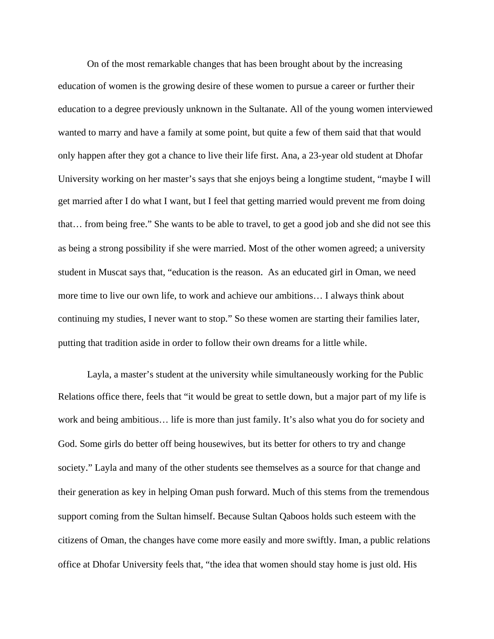On of the most remarkable changes that has been brought about by the increasing education of women is the growing desire of these women to pursue a career or further their education to a degree previously unknown in the Sultanate. All of the young women interviewed wanted to marry and have a family at some point, but quite a few of them said that that would only happen after they got a chance to live their life first. Ana, a 23-year old student at Dhofar University working on her master's says that she enjoys being a longtime student, "maybe I will get married after I do what I want, but I feel that getting married would prevent me from doing that… from being free." She wants to be able to travel, to get a good job and she did not see this as being a strong possibility if she were married. Most of the other women agreed; a university student in Muscat says that, "education is the reason. As an educated girl in Oman, we need more time to live our own life, to work and achieve our ambitions… I always think about continuing my studies, I never want to stop." So these women are starting their families later, putting that tradition aside in order to follow their own dreams for a little while.

Layla, a master's student at the university while simultaneously working for the Public Relations office there, feels that "it would be great to settle down, but a major part of my life is work and being ambitious… life is more than just family. It's also what you do for society and God. Some girls do better off being housewives, but its better for others to try and change society." Layla and many of the other students see themselves as a source for that change and their generation as key in helping Oman push forward. Much of this stems from the tremendous support coming from the Sultan himself. Because Sultan Qaboos holds such esteem with the citizens of Oman, the changes have come more easily and more swiftly. Iman, a public relations office at Dhofar University feels that, "the idea that women should stay home is just old. His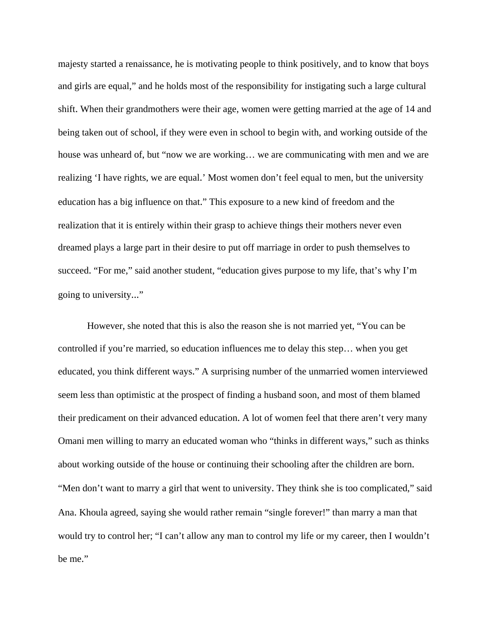majesty started a renaissance, he is motivating people to think positively, and to know that boys and girls are equal," and he holds most of the responsibility for instigating such a large cultural shift. When their grandmothers were their age, women were getting married at the age of 14 and being taken out of school, if they were even in school to begin with, and working outside of the house was unheard of, but "now we are working... we are communicating with men and we are realizing 'I have rights, we are equal.' Most women don't feel equal to men, but the university education has a big influence on that." This exposure to a new kind of freedom and the realization that it is entirely within their grasp to achieve things their mothers never even dreamed plays a large part in their desire to put off marriage in order to push themselves to succeed. "For me," said another student, "education gives purpose to my life, that's why I'm going to university..."

However, she noted that this is also the reason she is not married yet, "You can be controlled if you're married, so education influences me to delay this step… when you get educated, you think different ways." A surprising number of the unmarried women interviewed seem less than optimistic at the prospect of finding a husband soon, and most of them blamed their predicament on their advanced education. A lot of women feel that there aren't very many Omani men willing to marry an educated woman who "thinks in different ways," such as thinks about working outside of the house or continuing their schooling after the children are born. "Men don't want to marry a girl that went to university. They think she is too complicated," said Ana. Khoula agreed, saying she would rather remain "single forever!" than marry a man that would try to control her; "I can't allow any man to control my life or my career, then I wouldn't be me."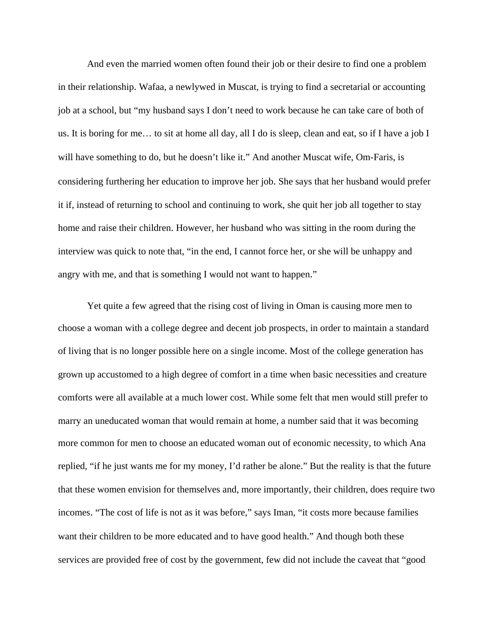And even the married women often found their job or their desire to find one a problem in their relationship. Wafaa, a newlywed in Muscat, is trying to find a secretarial or accounting job at a school, but "my husband says I don't need to work because he can take care of both of us. It is boring for me… to sit at home all day, all I do is sleep, clean and eat, so if I have a job I will have something to do, but he doesn't like it." And another Muscat wife, Om-Faris, is considering furthering her education to improve her job. She says that her husband would prefer it if, instead of returning to school and continuing to work, she quit her job all together to stay home and raise their children. However, her husband who was sitting in the room during the interview was quick to note that, "in the end, I cannot force her, or she will be unhappy and angry with me, and that is something I would not want to happen."

Yet quite a few agreed that the rising cost of living in Oman is causing more men to choose a woman with a college degree and decent job prospects, in order to maintain a standard of living that is no longer possible here on a single income. Most of the college generation has grown up accustomed to a high degree of comfort in a time when basic necessities and creature comforts were all available at a much lower cost. While some felt that men would still prefer to marry an uneducated woman that would remain at home, a number said that it was becoming more common for men to choose an educated woman out of economic necessity, to which Ana replied, "if he just wants me for my money, I'd rather be alone." But the reality is that the future that these women envision for themselves and, more importantly, their children, does require two incomes. "The cost of life is not as it was before," says Iman, "it costs more because families want their children to be more educated and to have good health." And though both these services are provided free of cost by the government, few did not include the caveat that "good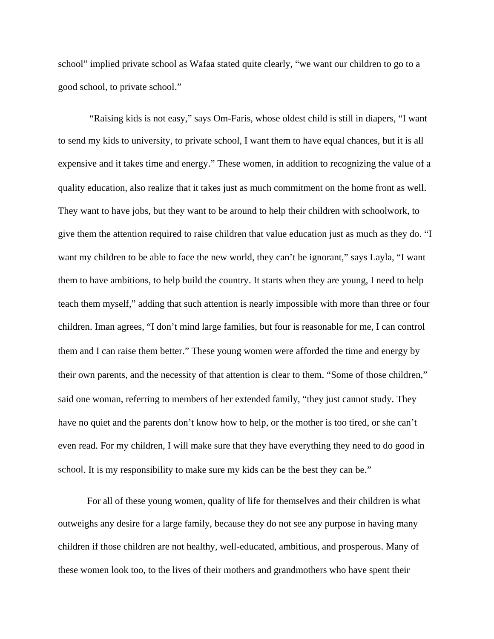school" implied private school as Wafaa stated quite clearly, "we want our children to go to a good school, to private school."

 "Raising kids is not easy," says Om-Faris, whose oldest child is still in diapers, "I want to send my kids to university, to private school, I want them to have equal chances, but it is all expensive and it takes time and energy." These women, in addition to recognizing the value of a quality education, also realize that it takes just as much commitment on the home front as well. They want to have jobs, but they want to be around to help their children with schoolwork, to give them the attention required to raise children that value education just as much as they do. "I want my children to be able to face the new world, they can't be ignorant," says Layla, "I want them to have ambitions, to help build the country. It starts when they are young, I need to help teach them myself," adding that such attention is nearly impossible with more than three or four children. Iman agrees, "I don't mind large families, but four is reasonable for me, I can control them and I can raise them better." These young women were afforded the time and energy by their own parents, and the necessity of that attention is clear to them. "Some of those children," said one woman, referring to members of her extended family, "they just cannot study. They have no quiet and the parents don't know how to help, or the mother is too tired, or she can't even read. For my children, I will make sure that they have everything they need to do good in school. It is my responsibility to make sure my kids can be the best they can be."

For all of these young women, quality of life for themselves and their children is what outweighs any desire for a large family, because they do not see any purpose in having many children if those children are not healthy, well-educated, ambitious, and prosperous. Many of these women look too, to the lives of their mothers and grandmothers who have spent their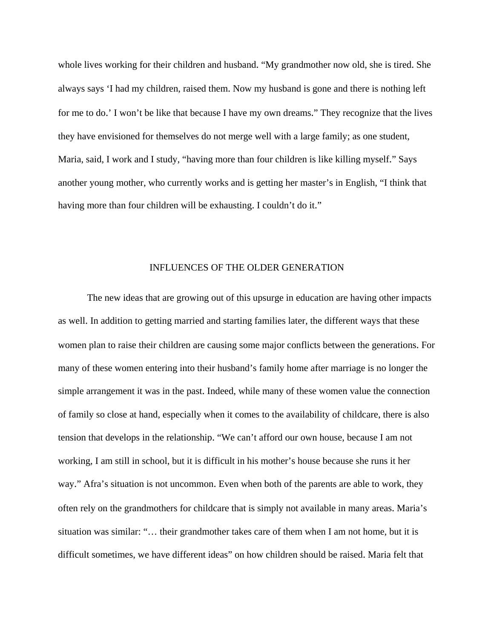whole lives working for their children and husband. "My grandmother now old, she is tired. She always says 'I had my children, raised them. Now my husband is gone and there is nothing left for me to do.' I won't be like that because I have my own dreams." They recognize that the lives they have envisioned for themselves do not merge well with a large family; as one student, Maria, said, I work and I study, "having more than four children is like killing myself." Says another young mother, who currently works and is getting her master's in English, "I think that having more than four children will be exhausting. I couldn't do it."

## INFLUENCES OF THE OLDER GENERATION

 The new ideas that are growing out of this upsurge in education are having other impacts as well. In addition to getting married and starting families later, the different ways that these women plan to raise their children are causing some major conflicts between the generations. For many of these women entering into their husband's family home after marriage is no longer the simple arrangement it was in the past. Indeed, while many of these women value the connection of family so close at hand, especially when it comes to the availability of childcare, there is also tension that develops in the relationship. "We can't afford our own house, because I am not working, I am still in school, but it is difficult in his mother's house because she runs it her way." Afra's situation is not uncommon. Even when both of the parents are able to work, they often rely on the grandmothers for childcare that is simply not available in many areas. Maria's situation was similar: "… their grandmother takes care of them when I am not home, but it is difficult sometimes, we have different ideas" on how children should be raised. Maria felt that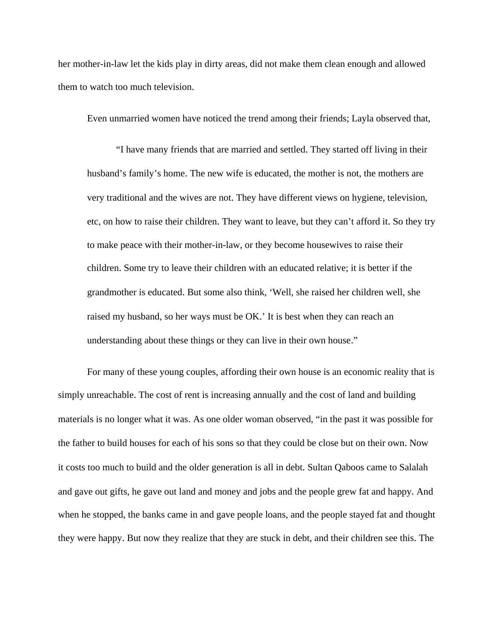her mother-in-law let the kids play in dirty areas, did not make them clean enough and allowed them to watch too much television.

Even unmarried women have noticed the trend among their friends; Layla observed that,

"I have many friends that are married and settled. They started off living in their husband's family's home. The new wife is educated, the mother is not, the mothers are very traditional and the wives are not. They have different views on hygiene, television, etc, on how to raise their children. They want to leave, but they can't afford it. So they try to make peace with their mother-in-law, or they become housewives to raise their children. Some try to leave their children with an educated relative; it is better if the grandmother is educated. But some also think, 'Well, she raised her children well, she raised my husband, so her ways must be OK.' It is best when they can reach an understanding about these things or they can live in their own house."

 For many of these young couples, affording their own house is an economic reality that is simply unreachable. The cost of rent is increasing annually and the cost of land and building materials is no longer what it was. As one older woman observed, "in the past it was possible for the father to build houses for each of his sons so that they could be close but on their own. Now it costs too much to build and the older generation is all in debt. Sultan Qaboos came to Salalah and gave out gifts, he gave out land and money and jobs and the people grew fat and happy. And when he stopped, the banks came in and gave people loans, and the people stayed fat and thought they were happy. But now they realize that they are stuck in debt, and their children see this. The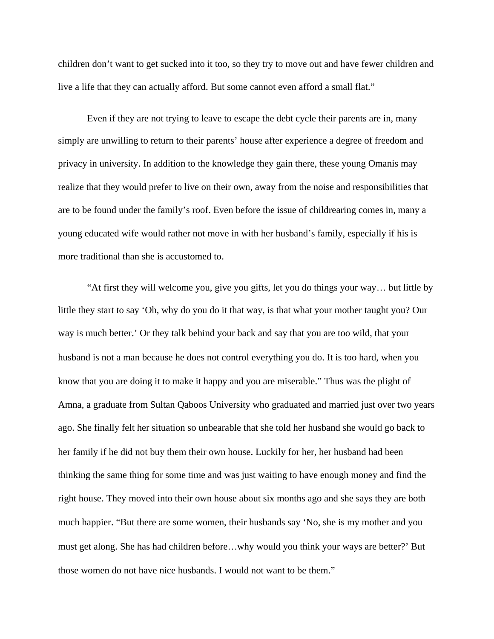children don't want to get sucked into it too, so they try to move out and have fewer children and live a life that they can actually afford. But some cannot even afford a small flat."

Even if they are not trying to leave to escape the debt cycle their parents are in, many simply are unwilling to return to their parents' house after experience a degree of freedom and privacy in university. In addition to the knowledge they gain there, these young Omanis may realize that they would prefer to live on their own, away from the noise and responsibilities that are to be found under the family's roof. Even before the issue of childrearing comes in, many a young educated wife would rather not move in with her husband's family, especially if his is more traditional than she is accustomed to.

"At first they will welcome you, give you gifts, let you do things your way… but little by little they start to say 'Oh, why do you do it that way, is that what your mother taught you? Our way is much better.' Or they talk behind your back and say that you are too wild, that your husband is not a man because he does not control everything you do. It is too hard, when you know that you are doing it to make it happy and you are miserable." Thus was the plight of Amna, a graduate from Sultan Qaboos University who graduated and married just over two years ago. She finally felt her situation so unbearable that she told her husband she would go back to her family if he did not buy them their own house. Luckily for her, her husband had been thinking the same thing for some time and was just waiting to have enough money and find the right house. They moved into their own house about six months ago and she says they are both much happier. "But there are some women, their husbands say 'No, she is my mother and you must get along. She has had children before…why would you think your ways are better?' But those women do not have nice husbands. I would not want to be them."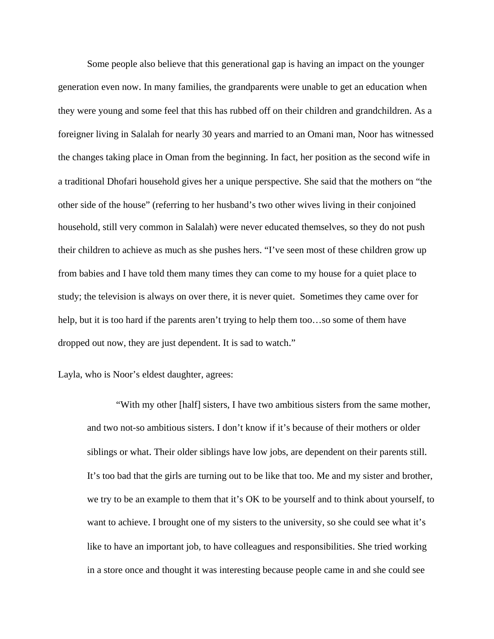Some people also believe that this generational gap is having an impact on the younger generation even now. In many families, the grandparents were unable to get an education when they were young and some feel that this has rubbed off on their children and grandchildren. As a foreigner living in Salalah for nearly 30 years and married to an Omani man, Noor has witnessed the changes taking place in Oman from the beginning. In fact, her position as the second wife in a traditional Dhofari household gives her a unique perspective. She said that the mothers on "the other side of the house" (referring to her husband's two other wives living in their conjoined household, still very common in Salalah) were never educated themselves, so they do not push their children to achieve as much as she pushes hers. "I've seen most of these children grow up from babies and I have told them many times they can come to my house for a quiet place to study; the television is always on over there, it is never quiet. Sometimes they came over for help, but it is too hard if the parents aren't trying to help them too...so some of them have dropped out now, they are just dependent. It is sad to watch."

Layla, who is Noor's eldest daughter, agrees:

"With my other [half] sisters, I have two ambitious sisters from the same mother, and two not-so ambitious sisters. I don't know if it's because of their mothers or older siblings or what. Their older siblings have low jobs, are dependent on their parents still. It's too bad that the girls are turning out to be like that too. Me and my sister and brother, we try to be an example to them that it's OK to be yourself and to think about yourself, to want to achieve. I brought one of my sisters to the university, so she could see what it's like to have an important job, to have colleagues and responsibilities. She tried working in a store once and thought it was interesting because people came in and she could see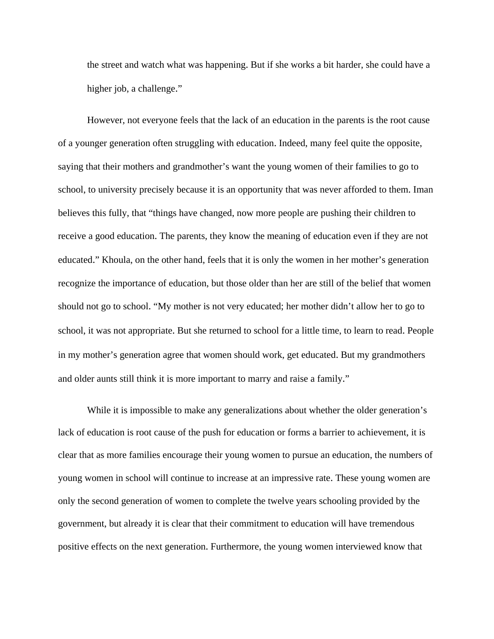the street and watch what was happening. But if she works a bit harder, she could have a higher job, a challenge."

 However, not everyone feels that the lack of an education in the parents is the root cause of a younger generation often struggling with education. Indeed, many feel quite the opposite, saying that their mothers and grandmother's want the young women of their families to go to school, to university precisely because it is an opportunity that was never afforded to them. Iman believes this fully, that "things have changed, now more people are pushing their children to receive a good education. The parents, they know the meaning of education even if they are not educated." Khoula, on the other hand, feels that it is only the women in her mother's generation recognize the importance of education, but those older than her are still of the belief that women should not go to school. "My mother is not very educated; her mother didn't allow her to go to school, it was not appropriate. But she returned to school for a little time, to learn to read. People in my mother's generation agree that women should work, get educated. But my grandmothers and older aunts still think it is more important to marry and raise a family."

While it is impossible to make any generalizations about whether the older generation's lack of education is root cause of the push for education or forms a barrier to achievement, it is clear that as more families encourage their young women to pursue an education, the numbers of young women in school will continue to increase at an impressive rate. These young women are only the second generation of women to complete the twelve years schooling provided by the government, but already it is clear that their commitment to education will have tremendous positive effects on the next generation. Furthermore, the young women interviewed know that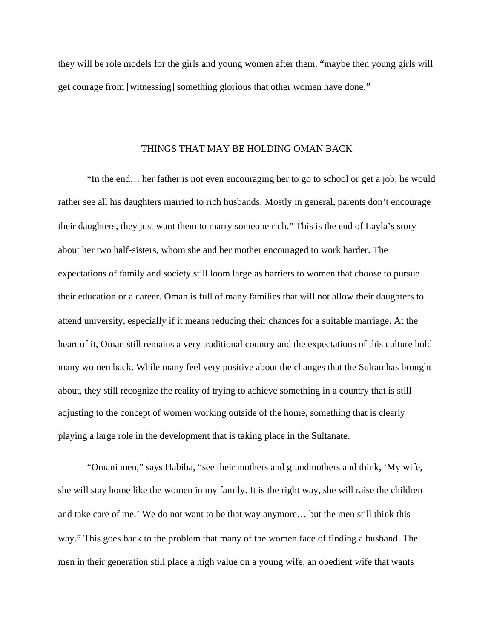they will be role models for the girls and young women after them, "maybe then young girls will get courage from [witnessing] something glorious that other women have done."

#### THINGS THAT MAY BE HOLDING OMAN BACK

 "In the end… her father is not even encouraging her to go to school or get a job, he would rather see all his daughters married to rich husbands. Mostly in general, parents don't encourage their daughters, they just want them to marry someone rich." This is the end of Layla's story about her two half-sisters, whom she and her mother encouraged to work harder. The expectations of family and society still loom large as barriers to women that choose to pursue their education or a career. Oman is full of many families that will not allow their daughters to attend university, especially if it means reducing their chances for a suitable marriage. At the heart of it, Oman still remains a very traditional country and the expectations of this culture hold many women back. While many feel very positive about the changes that the Sultan has brought about, they still recognize the reality of trying to achieve something in a country that is still adjusting to the concept of women working outside of the home, something that is clearly playing a large role in the development that is taking place in the Sultanate.

 "Omani men," says Habiba, "see their mothers and grandmothers and think, 'My wife, she will stay home like the women in my family. It is the right way, she will raise the children and take care of me.' We do not want to be that way anymore… but the men still think this way." This goes back to the problem that many of the women face of finding a husband. The men in their generation still place a high value on a young wife, an obedient wife that wants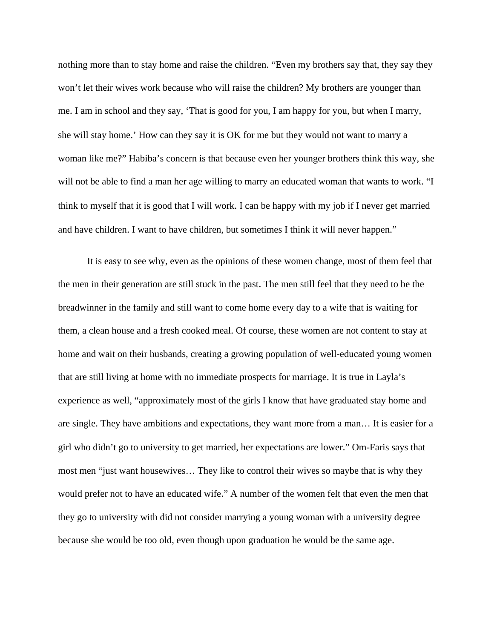nothing more than to stay home and raise the children. "Even my brothers say that, they say they won't let their wives work because who will raise the children? My brothers are younger than me. I am in school and they say, 'That is good for you, I am happy for you, but when I marry, she will stay home.' How can they say it is OK for me but they would not want to marry a woman like me?" Habiba's concern is that because even her younger brothers think this way, she will not be able to find a man her age willing to marry an educated woman that wants to work. "I think to myself that it is good that I will work. I can be happy with my job if I never get married and have children. I want to have children, but sometimes I think it will never happen."

It is easy to see why, even as the opinions of these women change, most of them feel that the men in their generation are still stuck in the past. The men still feel that they need to be the breadwinner in the family and still want to come home every day to a wife that is waiting for them, a clean house and a fresh cooked meal. Of course, these women are not content to stay at home and wait on their husbands, creating a growing population of well-educated young women that are still living at home with no immediate prospects for marriage. It is true in Layla's experience as well, "approximately most of the girls I know that have graduated stay home and are single. They have ambitions and expectations, they want more from a man… It is easier for a girl who didn't go to university to get married, her expectations are lower." Om-Faris says that most men "just want housewives… They like to control their wives so maybe that is why they would prefer not to have an educated wife." A number of the women felt that even the men that they go to university with did not consider marrying a young woman with a university degree because she would be too old, even though upon graduation he would be the same age.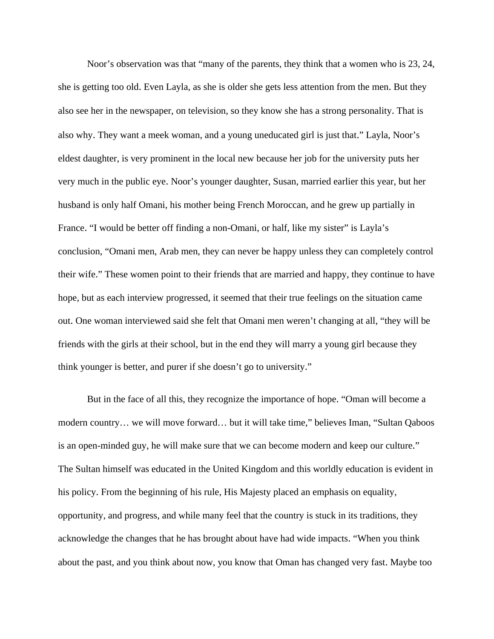Noor's observation was that "many of the parents, they think that a women who is 23, 24, she is getting too old. Even Layla, as she is older she gets less attention from the men. But they also see her in the newspaper, on television, so they know she has a strong personality. That is also why. They want a meek woman, and a young uneducated girl is just that." Layla, Noor's eldest daughter, is very prominent in the local new because her job for the university puts her very much in the public eye. Noor's younger daughter, Susan, married earlier this year, but her husband is only half Omani, his mother being French Moroccan, and he grew up partially in France. "I would be better off finding a non-Omani, or half, like my sister" is Layla's conclusion, "Omani men, Arab men, they can never be happy unless they can completely control their wife." These women point to their friends that are married and happy, they continue to have hope, but as each interview progressed, it seemed that their true feelings on the situation came out. One woman interviewed said she felt that Omani men weren't changing at all, "they will be friends with the girls at their school, but in the end they will marry a young girl because they think younger is better, and purer if she doesn't go to university."

But in the face of all this, they recognize the importance of hope. "Oman will become a modern country… we will move forward… but it will take time," believes Iman, "Sultan Qaboos is an open-minded guy, he will make sure that we can become modern and keep our culture." The Sultan himself was educated in the United Kingdom and this worldly education is evident in his policy. From the beginning of his rule, His Majesty placed an emphasis on equality, opportunity, and progress, and while many feel that the country is stuck in its traditions, they acknowledge the changes that he has brought about have had wide impacts. "When you think about the past, and you think about now, you know that Oman has changed very fast. Maybe too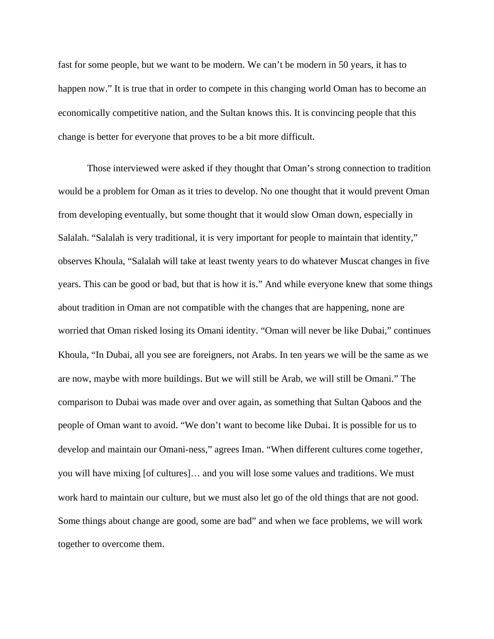fast for some people, but we want to be modern. We can't be modern in 50 years, it has to happen now." It is true that in order to compete in this changing world Oman has to become an economically competitive nation, and the Sultan knows this. It is convincing people that this change is better for everyone that proves to be a bit more difficult.

Those interviewed were asked if they thought that Oman's strong connection to tradition would be a problem for Oman as it tries to develop. No one thought that it would prevent Oman from developing eventually, but some thought that it would slow Oman down, especially in Salalah. "Salalah is very traditional, it is very important for people to maintain that identity," observes Khoula, "Salalah will take at least twenty years to do whatever Muscat changes in five years. This can be good or bad, but that is how it is." And while everyone knew that some things about tradition in Oman are not compatible with the changes that are happening, none are worried that Oman risked losing its Omani identity. "Oman will never be like Dubai," continues Khoula, "In Dubai, all you see are foreigners, not Arabs. In ten years we will be the same as we are now, maybe with more buildings. But we will still be Arab, we will still be Omani." The comparison to Dubai was made over and over again, as something that Sultan Qaboos and the people of Oman want to avoid. "We don't want to become like Dubai. It is possible for us to develop and maintain our Omani-ness," agrees Iman. "When different cultures come together, you will have mixing [of cultures]… and you will lose some values and traditions. We must work hard to maintain our culture, but we must also let go of the old things that are not good. Some things about change are good, some are bad" and when we face problems, we will work together to overcome them.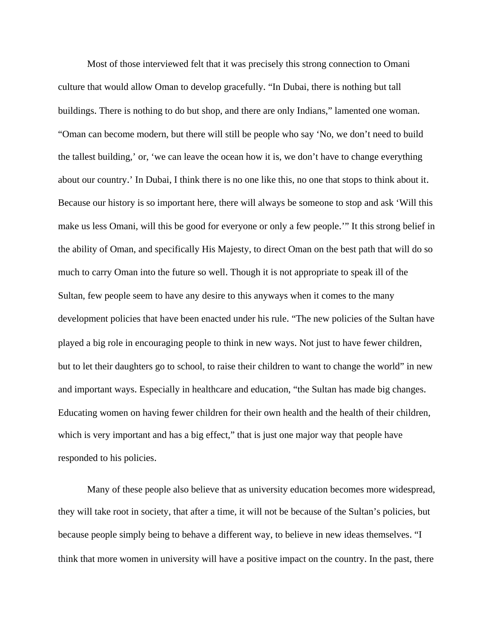Most of those interviewed felt that it was precisely this strong connection to Omani culture that would allow Oman to develop gracefully. "In Dubai, there is nothing but tall buildings. There is nothing to do but shop, and there are only Indians," lamented one woman. "Oman can become modern, but there will still be people who say 'No, we don't need to build the tallest building,' or, 'we can leave the ocean how it is, we don't have to change everything about our country.' In Dubai, I think there is no one like this, no one that stops to think about it. Because our history is so important here, there will always be someone to stop and ask 'Will this make us less Omani, will this be good for everyone or only a few people.'" It this strong belief in the ability of Oman, and specifically His Majesty, to direct Oman on the best path that will do so much to carry Oman into the future so well. Though it is not appropriate to speak ill of the Sultan, few people seem to have any desire to this anyways when it comes to the many development policies that have been enacted under his rule. "The new policies of the Sultan have played a big role in encouraging people to think in new ways. Not just to have fewer children, but to let their daughters go to school, to raise their children to want to change the world" in new and important ways. Especially in healthcare and education, "the Sultan has made big changes. Educating women on having fewer children for their own health and the health of their children, which is very important and has a big effect," that is just one major way that people have responded to his policies.

Many of these people also believe that as university education becomes more widespread, they will take root in society, that after a time, it will not be because of the Sultan's policies, but because people simply being to behave a different way, to believe in new ideas themselves. "I think that more women in university will have a positive impact on the country. In the past, there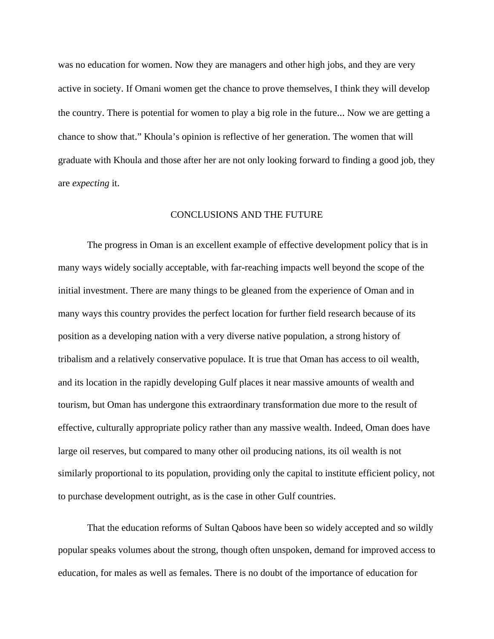was no education for women. Now they are managers and other high jobs, and they are very active in society. If Omani women get the chance to prove themselves, I think they will develop the country. There is potential for women to play a big role in the future... Now we are getting a chance to show that." Khoula's opinion is reflective of her generation. The women that will graduate with Khoula and those after her are not only looking forward to finding a good job, they are *expecting* it.

# CONCLUSIONS AND THE FUTURE

The progress in Oman is an excellent example of effective development policy that is in many ways widely socially acceptable, with far-reaching impacts well beyond the scope of the initial investment. There are many things to be gleaned from the experience of Oman and in many ways this country provides the perfect location for further field research because of its position as a developing nation with a very diverse native population, a strong history of tribalism and a relatively conservative populace. It is true that Oman has access to oil wealth, and its location in the rapidly developing Gulf places it near massive amounts of wealth and tourism, but Oman has undergone this extraordinary transformation due more to the result of effective, culturally appropriate policy rather than any massive wealth. Indeed, Oman does have large oil reserves, but compared to many other oil producing nations, its oil wealth is not similarly proportional to its population, providing only the capital to institute efficient policy, not to purchase development outright, as is the case in other Gulf countries.

That the education reforms of Sultan Qaboos have been so widely accepted and so wildly popular speaks volumes about the strong, though often unspoken, demand for improved access to education, for males as well as females. There is no doubt of the importance of education for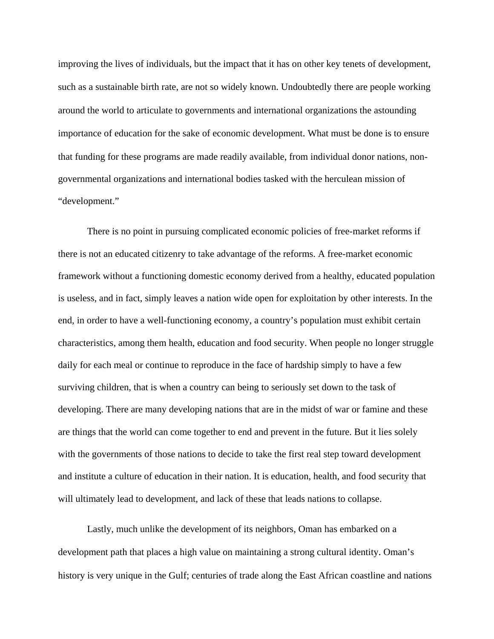improving the lives of individuals, but the impact that it has on other key tenets of development, such as a sustainable birth rate, are not so widely known. Undoubtedly there are people working around the world to articulate to governments and international organizations the astounding importance of education for the sake of economic development. What must be done is to ensure that funding for these programs are made readily available, from individual donor nations, nongovernmental organizations and international bodies tasked with the herculean mission of "development."

There is no point in pursuing complicated economic policies of free-market reforms if there is not an educated citizenry to take advantage of the reforms. A free-market economic framework without a functioning domestic economy derived from a healthy, educated population is useless, and in fact, simply leaves a nation wide open for exploitation by other interests. In the end, in order to have a well-functioning economy, a country's population must exhibit certain characteristics, among them health, education and food security. When people no longer struggle daily for each meal or continue to reproduce in the face of hardship simply to have a few surviving children, that is when a country can being to seriously set down to the task of developing. There are many developing nations that are in the midst of war or famine and these are things that the world can come together to end and prevent in the future. But it lies solely with the governments of those nations to decide to take the first real step toward development and institute a culture of education in their nation. It is education, health, and food security that will ultimately lead to development, and lack of these that leads nations to collapse.

Lastly, much unlike the development of its neighbors, Oman has embarked on a development path that places a high value on maintaining a strong cultural identity. Oman's history is very unique in the Gulf; centuries of trade along the East African coastline and nations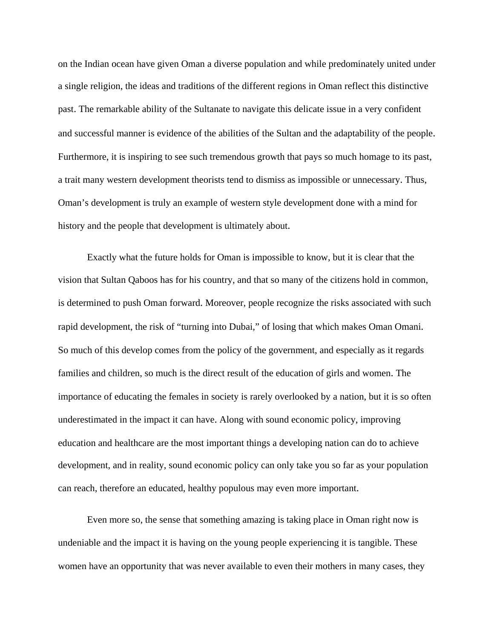on the Indian ocean have given Oman a diverse population and while predominately united under a single religion, the ideas and traditions of the different regions in Oman reflect this distinctive past. The remarkable ability of the Sultanate to navigate this delicate issue in a very confident and successful manner is evidence of the abilities of the Sultan and the adaptability of the people. Furthermore, it is inspiring to see such tremendous growth that pays so much homage to its past, a trait many western development theorists tend to dismiss as impossible or unnecessary. Thus, Oman's development is truly an example of western style development done with a mind for history and the people that development is ultimately about.

Exactly what the future holds for Oman is impossible to know, but it is clear that the vision that Sultan Qaboos has for his country, and that so many of the citizens hold in common, is determined to push Oman forward. Moreover, people recognize the risks associated with such rapid development, the risk of "turning into Dubai," of losing that which makes Oman Omani. So much of this develop comes from the policy of the government, and especially as it regards families and children, so much is the direct result of the education of girls and women. The importance of educating the females in society is rarely overlooked by a nation, but it is so often underestimated in the impact it can have. Along with sound economic policy, improving education and healthcare are the most important things a developing nation can do to achieve development, and in reality, sound economic policy can only take you so far as your population can reach, therefore an educated, healthy populous may even more important.

Even more so, the sense that something amazing is taking place in Oman right now is undeniable and the impact it is having on the young people experiencing it is tangible. These women have an opportunity that was never available to even their mothers in many cases, they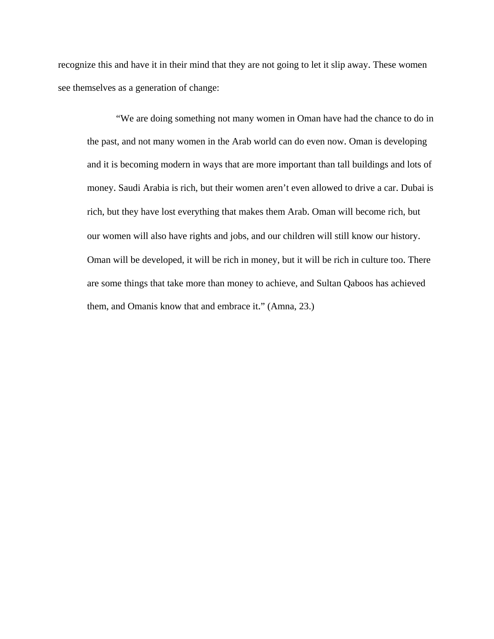recognize this and have it in their mind that they are not going to let it slip away. These women see themselves as a generation of change:

"We are doing something not many women in Oman have had the chance to do in the past, and not many women in the Arab world can do even now. Oman is developing and it is becoming modern in ways that are more important than tall buildings and lots of money. Saudi Arabia is rich, but their women aren't even allowed to drive a car. Dubai is rich, but they have lost everything that makes them Arab. Oman will become rich, but our women will also have rights and jobs, and our children will still know our history. Oman will be developed, it will be rich in money, but it will be rich in culture too. There are some things that take more than money to achieve, and Sultan Qaboos has achieved them, and Omanis know that and embrace it." (Amna, 23.)